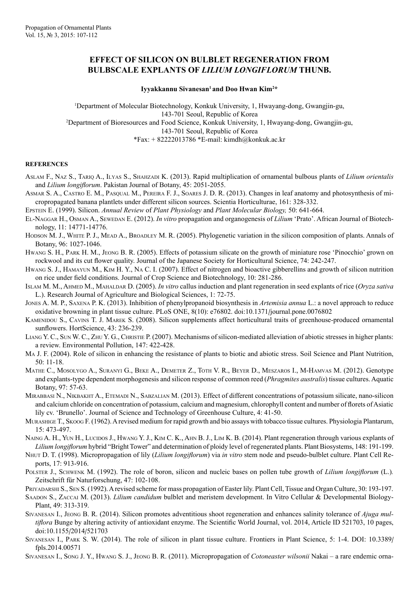## **Effect of silicon on bulblet regeneration from bulbscale explants of** *Lilium longiflorum* **Thunb.**

Iyyakkannu Sivanesan<sup>1</sup> and Doo Hwan Kim<sup>2\*</sup>

1 Department of Molecular Biotechnology, Konkuk University, 1, Hwayang-dong, Gwangjin-gu, 143-701 Seoul, Republic of Korea 2 Department of Bioresources and Food Science, Konkuk University, 1, Hwayang-dong, Gwangjin-gu, 143-701 Seoul, Republic of Korea  $*Fax: + 82222013786 *E-mail: kimdh@konkuk.ac.kr$ 

## **REFERENCES**

- Aslam F., Naz S., Tariq A., Ilyas S., Shahzadi K. (2013). Rapid multiplication of ornamental bulbous plants of *Lilium orientalis*  and *Lilium longiflorum*. Pakistan Journal of Botany, 45: 2051-2055.
- Asmar S. A., Castro E. M., Pasqual M., Pereira F. J., Soares J. D. R. (2013). Changes in leaf anatomy and photosynthesis of micropropagated banana plantlets under different silicon sources. Scientia Horticulturae, 161: 328-332.

Epstein E. (1999). Silicon. *Annual Review* of *Plant Physiology* and *Plant Molecular Biology,* 50: 641-664.

- El-Naggar H., Osman A., Sewedan E. (2012). *In vitro* propagation and organogenesis of *Lilium* 'Prato'. African Journal of Biotechnology, 11: 14771-14776.
- HODSON M. J., WHITE P. J., MEAD A., BROADLEY M. R. (2005). Phylogenetic variation in the silicon composition of plants. Annals of Botany, 96: 1027-1046.
- Hwang S. H., Park H. M., Jeong B. R. (2005). Effects of potassium silicate on the growth of miniature rose 'Pinocchio' grown on rockwool and its cut flower quality. Journal of the Japanese Society for Horticultural Science, 74: 242-247.
- Hwang S. J., Hamayun M., Kim H. Y., Na C. I. (2007). Effect of nitrogen and bioactive gibberellins and growth of silicon nutrition on rice under field conditions. Journal of Crop Science and Biotechnology, 10: 281-286.
- ISLAM M. M., AHMED M., MAHALDAR D. (2005). *In vitro* callus induction and plant regeneration in seed explants of rice (*Oryza sativa* L.). Research Journal of Agriculture and Biological Sciences, 1: 72-75.
- Jones A. M. P., Saxena P. K. (2013). Inhibition of phenylpropanoid biosynthesis in *Artemisia annua* L.: a novel approach to reduce oxidative browning in plant tissue culture. PLoS ONE, 8(10): e76802. doi:10.1371/journal.pone.0076802
- KAMENIDOU S., CAVINS T. J. MAREK S. (2008). Silicon supplements affect horticultural traits of greenhouse-produced ornamental sunflowers. HortScience, 43: 236-239.
- Liang Y. C., Sun W. C., Zhu Y. G., Christie P. (2007). Mechanisms of silicon-mediated alleviation of abiotic stresses in higher plants: a review. Environmental Pollution, 147: 422-428.
- Ma J. F. (2004). Role of silicon in enhancing the resistance of plants to biotic and abiotic stress. Soil Science and Plant Nutrition, 50: 11-18.
- Mathe C., Mosolygo A., Suranyi G., Beke A., Demeter Z., Toth V. R., Beyer D., Meszaros I., M-Hamvas M. (2012). Genotype and explants-type dependent morphogenesis and silicon response of common reed (*Phragmites australis*) tissue cultures. Aquatic Botany, 97: 57-63.
- MIRABBASI N., NIKBAKHT A., ETEMADI N., SABZALIAN M. (2013). Effect of different concentrations of potassium silicate, nano-silicon and calcium chloride on concentration of potassium, calcium and magnesium, chlorophyll content and number of florets of Asiatic lily cv. 'Brunello'. Journal of Science and Technology of Greenhouse Culture, 4: 41-50.
- Murashige T., Skoog F. (1962). A revised medium for rapid growth and bio assays with tobacco tissue cultures. Physiologia Plantarum, 15: 473-497.
- NAING A. H., YUN H., LUCIDOS J., HWANG Y. J., KIM C. K., AHN B. J., LIM K. B. (2014). Plant regeneration through various explants of *Lilium longiflorum* hybrid "Bright Tower" and determination of ploidy level of regenerated plants. Plant Biosystems, 148: 191-199.
- Nhut D. T. (1998). Micropropagation of lily (*Lilium longiflorum*) via *in vitro* stem node and pseudo-bulblet culture. Plant Cell Reports, 17: 913-916.
- POLSTER J., SCHWENK M. (1992). The role of boron, silicon and nucleic bases on pollen tube growth of *Lilium longiflorum* (L.). Zeitschrift für Naturforschung, 47: 102-108.
- PRIYADARSHI S., SEN S. (1992). A revised scheme for mass propagation of Easter lily. Plant Cell, Tissue and Organ Culture, 30: 193-197.
- Saadon S., Zaccai M. (2013). *Lilium candidum* bulblet and meristem development. In Vitro Cellular & Developmental Biology-Plant, 49: 313-319.
- Sivanesan I., Jeong B. R. (2014). Silicon promotes adventitious shoot regeneration and enhances salinity tolerance of *Ajuga multiflora* Bunge by altering activity of antioxidant enzyme. The Scientific World Journal, vol. 2014, Article ID 521703, 10 pages, doi:10.1155/2014/521703
- Sivanesan I., Park S. W. (2014). The role of silicon in plant tissue culture. Frontiers in Plant Science, 5: 1-4. DOI: 10.3389/ fpls.2014.00571
- Sivanesan I., Song J. Y., Hwang S. J., Jeong B. R. (2011). Micropropagation of *Cotoneaster wilsonii* Nakai a rare endemic orna-